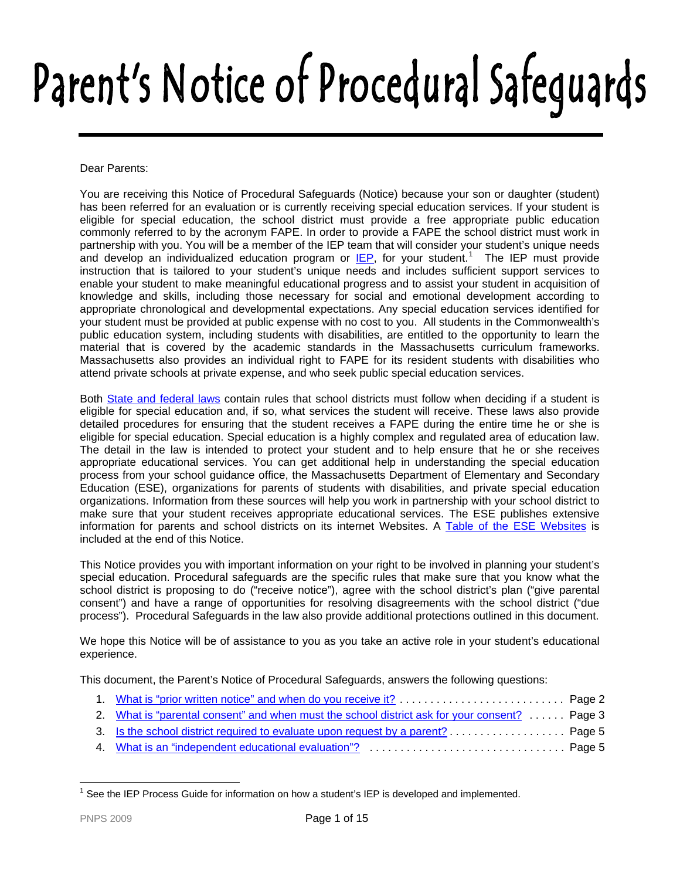# Parent's Notice of Procedural Safeguards

Dear Parents:

You are receiving this Notice of Procedural Safeguards (Notice) because your son or daughter (student) has been referred for an evaluation or is currently receiving special education services. If your student is eligible for special education, the school district must provide a free appropriate public education commonly referred to by the acronym FAPE. In order to provide a FAPE the school district must work in partnership with you. You will be a member of the IEP team that will consider your student's unique needs and develop an individualized education program or **IEP**, for your student.<sup>[1](#page-0-0)</sup> The IEP must provide instruction that is tailored to your student's unique needs and includes sufficient support services to enable your student to make meaningful educational progress and to assist your student in acquisition of knowledge and skills, including those necessary for social and emotional development according to appropriate chronological and developmental expectations. Any special education services identified for your student must be provided at public expense with no cost to you. All students in the Commonwealth's public education system, including students with disabilities, are entitled to the opportunity to learn the material that is covered by the academic standards in the Massachusetts curriculum frameworks. Massachusetts also provides an individual right to FAPE for its resident students with disabilities who attend private schools at private expense, and who seek public special education services.

Both [State and federal laws](#page-13-1) contain rules that school districts must follow when deciding if a student is eligible for special education and, if so, what services the student will receive. These laws also provide detailed procedures for ensuring that the student receives a FAPE during the entire time he or she is eligible for special education. Special education is a highly complex and regulated area of education law. The detail in the law is intended to protect your student and to help ensure that he or she receives appropriate educational services. You can get additional help in understanding the special education process from your school guidance office, the Massachusetts Department of Elementary and Secondary Education (ESE), organizations for parents of students with disabilities, and private special education organizations. Information from these sources will help you work in partnership with your school district to make sure that your student receives appropriate educational services. The ESE publishes extensive information for parents and school districts on its internet Websites. A [Table of the ESE Websites](#page-13-2) is included at the end of this Notice.

This Notice provides you with important information on your right to be involved in planning your student's special education. Procedural safeguards are the specific rules that make sure that you know what the school district is proposing to do ("receive notice"), agree with the school district's plan ("give parental consent") and have a range of opportunities for resolving disagreements with the school district ("due process"). Procedural Safeguards in the law also provide additional protections outlined in this document.

We hope this Notice will be of assistance to you as you take an active role in your student's educational experience.

This document, the Parent's Notice of Procedural Safeguards, answers the following questions:

- 1. [What is "prior written notice" and when do you receive it?](#page-1-0) . . . . . . . . . . . . . . . . . . . . . . . . . . . Page 2
- 2. [What is "parental consent" and when must the school district ask for your consent?](#page-2-0) . . . . . . Page 3
- 3. [Is the school district required to evaluate upon request by a parent?](#page-3-0) . . . . . . . . . . . . . . . . . . . Page 5
- 4. [What is an "independent educational evaluation"?](#page-4-0) . . . . . . . . . . . . . . . . . . . . . . . . . . . . . . . . Page 5

<span id="page-0-0"></span> $\overline{a}$ 1 See the IEP Process Guide for information on how a student's IEP is developed and implemented.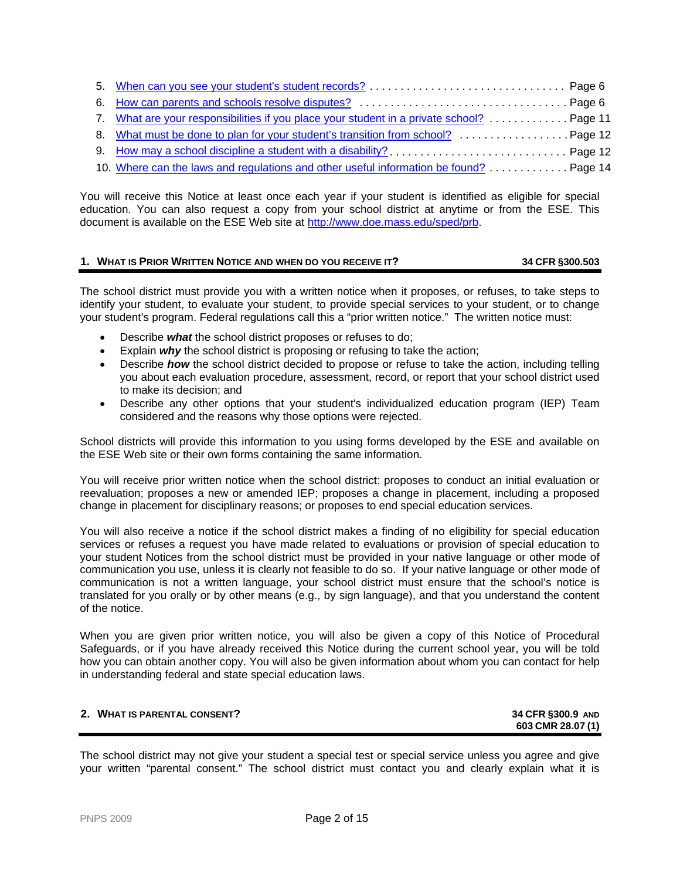| 7. What are your responsibilities if you place your student in a private school?  Page 11 |  |
|-------------------------------------------------------------------------------------------|--|
|                                                                                           |  |
| 9. How may a school discipline a student with a disability?  Page 12                      |  |
| 10. Where can the laws and regulations and other useful information be found?  Page 14    |  |

You will receive this Notice at least once each year if your student is identified as eligible for special education. You can also request a copy from your school district at anytime or from the ESE. This document is available on the ESE Web site at<http://www.doe.mass.edu/sped/prb>.

# <span id="page-1-1"></span><span id="page-1-0"></span>**1. WHAT IS PRIOR WRITTEN NOTICE AND WHEN DO YOU RECEIVE IT? 34 CFR §300.503**

The school district must provide you with a written notice when it proposes, or refuses, to take steps to identify your student, to evaluate your student, to provide special services to your student, or to change your student's program. Federal regulations call this a "prior written notice." The written notice must:

- Describe *what* the school district proposes or refuses to do;
- **Explain** *why* the school district is proposing or refusing to take the action;
- **.** Describe *how* the school district decided to propose or refuse to take the action, including telling you about each evaluation procedure, assessment, record, or report that your school district used to make its decision; and
- Describe any other options that your student's individualized education program (IEP) Team considered and the reasons why those options were rejected.

School districts will provide this information to you using forms developed by the ESE and available on the ESE Web site or their own forms containing the same information.

You will receive prior written notice when the school district: proposes to conduct an initial evaluation or reevaluation; proposes a new or amended IEP; proposes a change in placement, including a proposed change in placement for disciplinary reasons; or proposes to end special education services*.* 

You will also receive a notice if the school district makes a finding of no eligibility for special education services or refuses a request you have made related to evaluations or provision of special education to your student Notices from the school district must be provided in your native language or other mode of communication you use, unless it is clearly not feasible to do so. If your native language or other mode of communication is not a written language, your school district must ensure that the school's notice is translated for you orally or by other means (e.g., by sign language), and that you understand the content of the notice.

When you are given prior written notice, you will also be given a copy of this Notice of Procedural Safeguards, or if you have already received this Notice during the current school year, you will be told how you can obtain another copy. You will also be given information about whom you can contact for help in understanding federal and state special education laws.

# **2. WHAT IS PARENTAL CONSENT? 34 CFR §300.9 AND**

**603 CMR 28.07 (1)**

The school district may not give your student a special test or special service unless you agree and give your written "parental consent." The school district must contact you and clearly explain what it is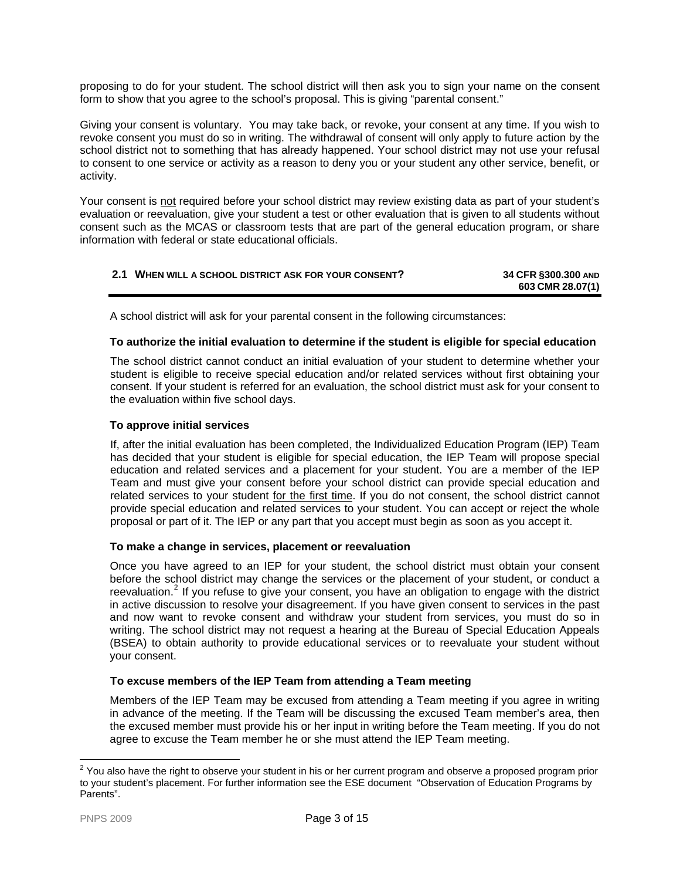<span id="page-2-0"></span>proposing to do for your student. The school district will then ask you to sign your name on the consent form to show that you agree to the school's proposal. This is giving "parental consent."

Giving your consent is voluntary. You may take back, or revoke, your consent at any time. If you wish to revoke consent you must do so in writing. The withdrawal of consent will only apply to future action by the school district not to something that has already happened. Your school district may not use your refusal to consent to one service or activity as a reason to deny you or your student any other service, benefit, or activity.

Your consent is not required before your school district may review existing data as part of your student's evaluation or reevaluation, give your student a test or other evaluation that is given to all students without consent such as the MCAS or classroom tests that are part of the general education program, or share information with federal or state educational officials.

| 2.1 WHEN WILL A SCHOOL DISTRICT ASK FOR YOUR CONSENT? | 34 CFR §300.300 AND |
|-------------------------------------------------------|---------------------|
|                                                       | 603 CMR 28.07(1)    |

A school district will ask for your parental consent in the following circumstances:

# **To authorize the initial evaluation to determine if the student is eligible for special education**

The school district cannot conduct an initial evaluation of your student to determ ine whether your student is eligible to receive special education and/or related services without first obtaining your consent. If your student is referred for an evaluation, the school district must ask for your consent to the evaluation within five school days.

# **To approve initial services**

education and related services and a placement for your student. You are a member of the IEP Team and must give your consent before your school district can provide special education and related services to your student for the first time. If you do not consent, the school district cannot If, after the initial evaluation has been completed, the Individualized Education Program (IEP) Team has decided that your student is eligible for special education, the IEP Team will propose special provide special education and related services to your student. You can accept or reject the whole proposal or part of it. The IEP or any part that you accept must begin as soon as you accept it.

## **To make a change in services, placement or reevaluation**

reevaluation.<sup>2</sup> If you refuse to give your consent, you have an obligation to engage with the district in active discussion to resolve your disagreement. If you have given consent to services in the past and now want to revoke consent and withdraw your student from services, you must do so in Once you have agreed to an IEP for your student, the school district must obtain your consent before the school district may change the services or the placement of your student, or conduct a writing. The school district may not request a hearing at the Bureau of Special Education Appeals (BSEA) to obtain authority to provide educational services or to reevaluate your student without your consent.

## **To excuse members of the IEP Team from attending a Team meeting**

the excused member must provide his or her input in writing before the Team meeting. If you do not gree to excuse the Team member he or she must attend the IEP Team meeting. a Members of the IEP Team may be excused from attending a Team meeting if you agree in writing in advance of the meeting. If the Team will be discussing the excused Team member's area, then

 $2$  You also have the right to observe your student in his or her current program and observe a proposed program prior to your student's placement. For further information see the ESE document "Observation of Education Programs by Parents".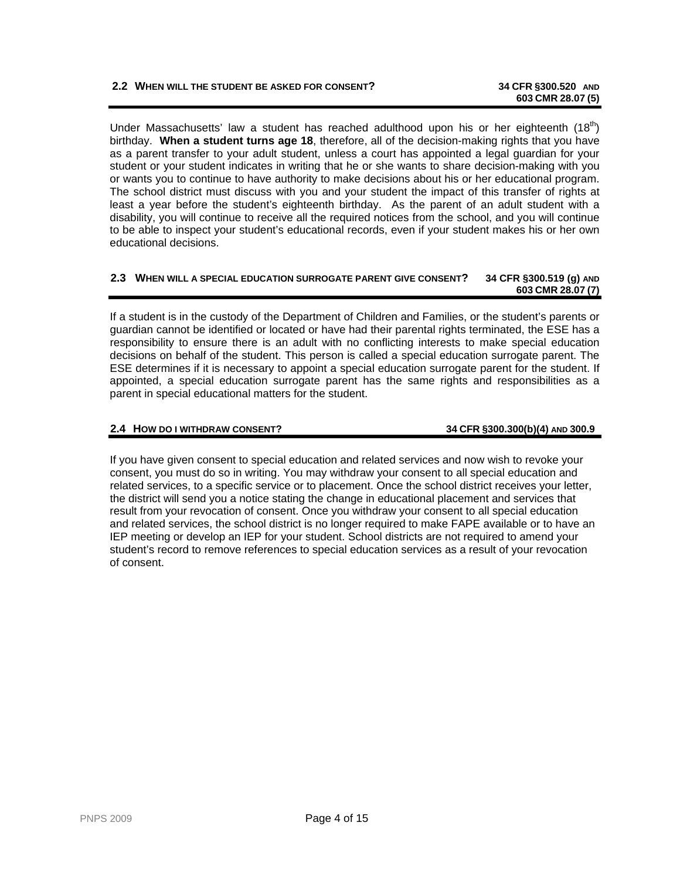# **2.2 WHEN WILL THE STUDENT BE ASKED FOR CONSENT? 34 CFR §300.520 AND**

Under Massachusetts' law a student has reached adulthood upon his or her eighteenth  $(18<sup>th</sup>)$ birthday. **When a student turns age 18**, therefore, all of the decision-making rights that you have as a parent transfer to your adult student, unless a court has appointed a legal guardian for your student or your student indicates in writing that he or she wants to share decision-making with you The school district must discuss with you and your student the impact of this tra nsfer of rights at least a year before the student's eighteenth birthday. As the parent of an adult student with a or wants you to continue to have authority to make decisions about his or her educational program. disability, you will continue to receive all the required notices from the school, and you will continue to be able to inspect your student's educational records, even if your student makes his or her own educational decisions.

#### **2.3 WHEN WILL A SPECIAL EDUCATION SURROGATE PARENT GIVE CONSENT? 34 CFR §300.519 (g) AND 603 CMR 28.07 (7)**

If a student is in the custody of the Department of Children and Families, or the student's parents or guardian cannot be identified or located or have had their parental rights terminated, the ESE has a responsibility to ensure there is an adult with no conflicting interests to make special education decisions on behalf of the student. This person is called a special education surrogate parent. The appointed, a special education surrogate parent has the same rights and responsibilities as a parent in special educational matters for the student. ESE determines if it is necessary to appoint a special education surrogate parent for the student. If

#### **2.4 HOW DO I WITHDRAW CONSENT? 34 CFR §300.300(b)(4) AND 300.9**

<span id="page-3-0"></span>If you have given consent to special education and related services and now wish to revoke your consent, you must do so in writing. You may withdraw your consent to all special education and related services, to a specific service or to placement. Once the school district receives your letter, the district will send you a notice stating the change in educational placement and services that result from your revocation of consent. Once you withdraw your consent to all special education IEP meeting or develop an IEP for your student. School districts are not required to amend your and related services, the school district is no longer required to make FAPE available or to have an student's record to remove references to special education services as a result of your revocation of consent.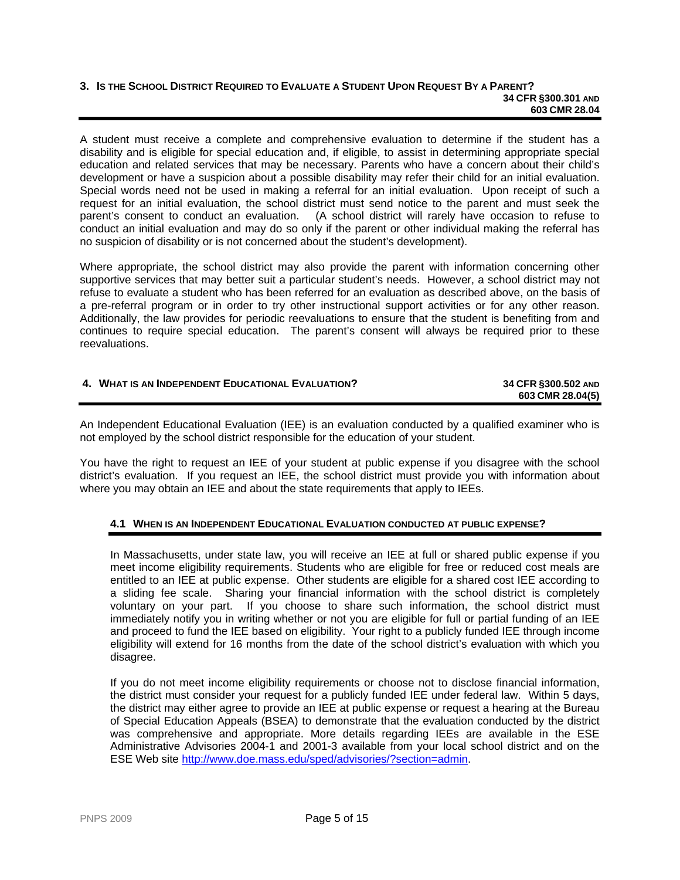#### **3. IS THE SCHOOL DISTRICT REQUIRED TO EVALUATE A STUDENT UPON REQUEST BY A PARENT? 34 CFR §300.301 AND 603 CMR 28.04**

A student must receive a complete and comprehensive evaluation to determine if the student has a disability and is eligible for special education and, if eligible, to assist in determining appropriate special education and related services that may be necessary. Parents who have a concern about their child's development or have a suspicion about a possible disability may refer their child for an initial evaluation. Special words need not be used in making a referral for an initial evaluation. Upon receipt of such a request for an initial evaluation, the school district must send notice to the parent and must seek the parent's consent to conduct an evaluation. (A school district will rarely have occasion to refuse to conduct an initial evaluation and may do so only if the parent or other individual making the referral has no suspicion of disability or is not concerned about the student's development).

Where appropriate, the school district may also provide the parent with information concerning other supportive services that may better suit a particular student's needs. However, a school district may not refuse to evaluate a student who has been referred for an evaluation as described above, on the basis of a pre-referral program or in order to try other instructional support activities or for any other reason. Additionally, the law provides for periodic reevaluations to ensure that the student is benefiting from and continues to require special education. The parent's consent will always be required prior to these reevaluations.

<span id="page-4-0"></span>

| 4. WHAT IS AN INDEPENDENT EDUCATIONAL EVALUATION? | 34 CFR §300.502 AND<br>603 CMR 28.04(5) |
|---------------------------------------------------|-----------------------------------------|
|                                                   |                                         |

An Independent Educational Evaluation (IEE) is an evaluation conducted by a qualified examiner who is not employed by the school district responsible for the education of your student.

You have the right to request an IEE of your student at public expense if you disagree with the school district's evaluation. If you request an IEE, the school district must provide you with information about where you may obtain an IEE and about the state requirements that apply to IEEs.

# **4.1 WHEN IS AN INDEPENDENT EDUCATIONAL EVALUATION CONDUCTED AT PUBLIC EXPENSE?**

In Massachusetts, under state law, you will receive an IEE at full or shared public expense if you meet income eligibility requirements. Students who are eligible for free or reduced cost meals are entitled to an IEE at public expense. Other students are eligible for a shared cost IEE according to a sliding fee scale. Sharing your financial information with the school district is completely voluntary on your part. If you choose to share such information, the school district must immediately notify you in writing whether or not you are eligible for full or partial funding of an IEE and proceed to fund the IEE based on eligibility. Your right to a publicly funded IEE through income eligibility will extend for 16 months from the date of the school district's evaluation with which you disagree.

If you do not meet income eligibility requirements or choose not to disclose financial information, the district must consider your request for a publicly funded IEE under federal law. Within 5 days, the district may either agree to provide an IEE at public expense or request a hearing at the Bureau of Special Education Appeals (BSEA) to demonstrate that the evaluation conducted by the district was comprehensive and appropriate. More details regarding IEEs are available in the ESE Administrative Advisories 2004-1 and 2001-3 available from your local school district and on the ESE Web site <http://www.doe.mass.edu/sped/advisories/?section=admin>.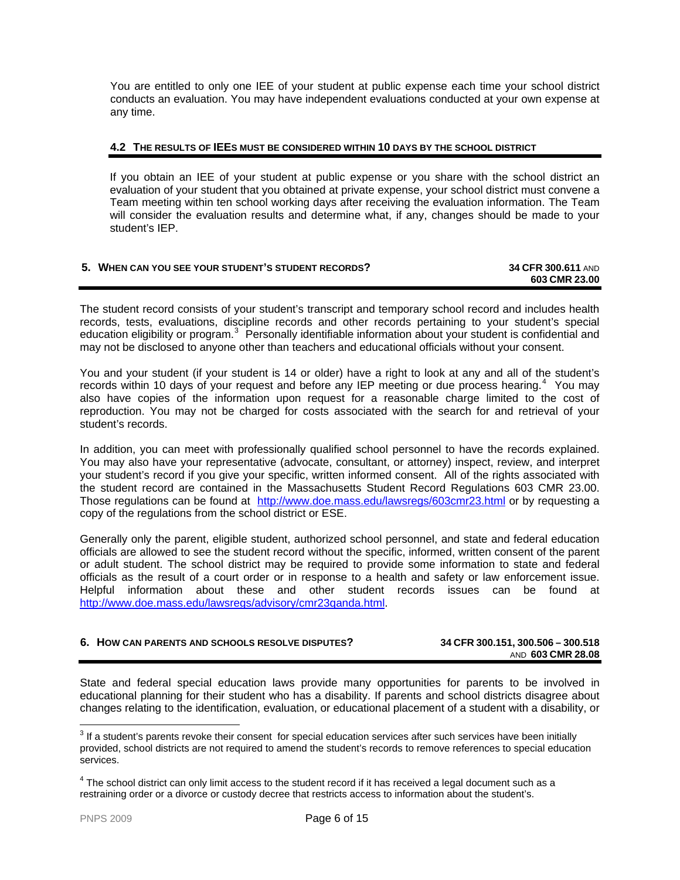You are entitled to only one IEE of your student at public expense each time your school district conducts an evaluation. You may have independent evaluations conducted at your own expense at any time.

#### **4.2 THE RESULTS OF IEES MUST BE CONSIDERED WITHIN 10 DAYS BY THE SCHOOL DISTRICT**

If you obtain an IEE of your student at public expense or you share with the school district an evaluation of your student that you obtained at private expense, your school district must convene a Team meeting within ten school working days after receiving the evaluation information. The Team will consider the evaluation results and determine what, if any, changes should be made to your student's IEP.

#### <span id="page-5-0"></span>**5. WHEN CAN YOU SEE YOUR STUDENT'S STUDENT RECORDS? 34 CFR 300.611** AND **603 CMR 23.00**

The student record consists of your student's transcript and temporary school record and includes health records, tests, evaluations, discipline records and other records pertaining to your student's special education eligibility or program.<sup>[3](#page-5-2)</sup> Personally identifiable information about your student is confidential and may not be disclosed to anyone other than teachers and educational officials without your consent.

You and your student (if your student is 14 or older) have a right to look at any and all of the student's records within 10 days of your request and before any IEP meeting or due process hearing.<sup>[4](#page-5-3)</sup> You may also have copies of the information upon request for a reasonable charge limited to the cost of reproduction. You may not be charged for costs associated with the search for and retrieval of your student's records.

In addition, you can meet with professionally qualified school personnel to have the records explained. You may also have your representative (advocate, consultant, or attorney) inspect, review, and interpret your student's record if you give your specific, written informed consent. All of the rights associated with the student record are contained in the Massachusetts Student Record Regulations 603 CMR 23.00. Those regulations can be found at <http://www.doe.mass.edu/lawsregs/603cmr23.html> or by requesting a copy of the regulations from the school district or ESE.

Generally only the parent, eligible student, authorized school personnel, and state and federal education officials are allowed to see the student record without the specific, informed, written consent of the parent or adult student. The school district may be required to provide some information to state and federal officials as the result of a court order or in response to a health and safety or law enforcement issue. Helpful information about these and other student records issues can be found at [http://www.doe.mass.edu/lawsregs/advisory/cmr23qanda.html.](http://www.doe.mass.edu/lawsregs/advisory/cmr23qanda.html)

<span id="page-5-1"></span>

| 6. HOW CAN PARENTS AND SCHOOLS RESOLVE DISPUTES? | 34 CFR 300.151, 300.506 - 300.518 |
|--------------------------------------------------|-----------------------------------|
|                                                  | AND 603 CMR 28.08                 |

State and federal special education laws provide many opportunities for parents to be involved in educational planning for their student who has a disability. If parents and school districts disagree about changes relating to the identification, evaluation, or educational placement of a student with a disability, or

<span id="page-5-2"></span><sup>&</sup>lt;u>3</u><br><sup>3</sup> If a student's parents revoke their consent for special education services after such services have been initially provided, school districts are not required to amend the student's records to remove references to special education services.

<span id="page-5-3"></span> $^4$  The school district can only limit access to the student record if it has received a legal document such as a restraining order or a divorce or custody decree that restricts access to information about the student's.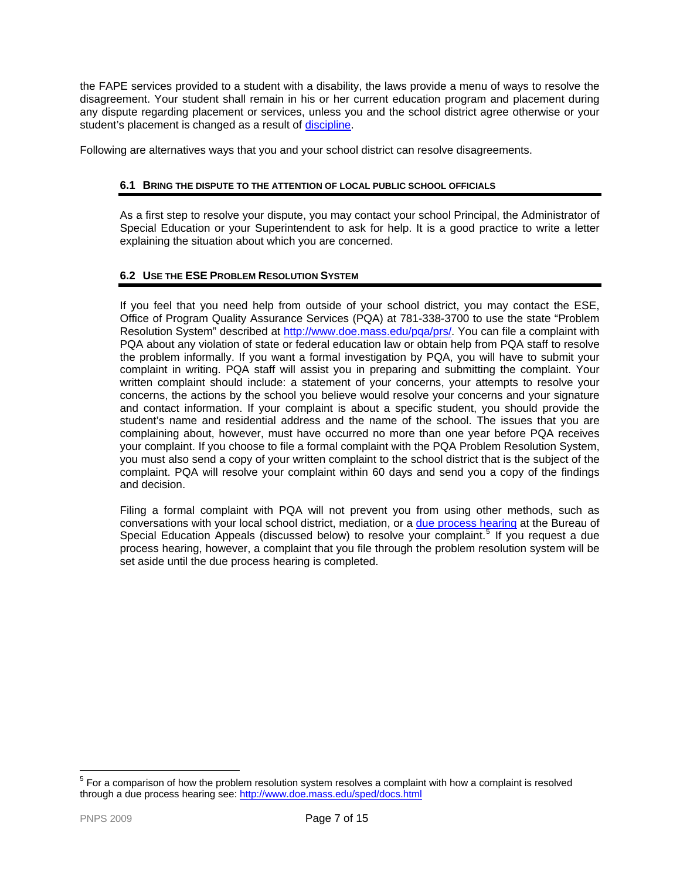the FAPE services provided to a student with a disability, the laws provide a menu of ways to resolve the disagreement. Your student shall remain in his or her current education program and placement during any dispute regarding placement or services, unless you and the school district agree otherwise or your student's placement is changed as a result of [discipline](#page-11-0).

Following are alternatives ways that you and your school district can resolve disagreements.

# **6.1 BRING THE DISPUTE TO THE ATTENTION OF LOCAL PUBLIC SCHOOL OFFICIALS**

As a first step to resolve your dispute, you may contact your school Principal, the Administrator of Special Education or your Superintendent to ask for help. It is a good practice to write a letter explaining the situation about which you are concerned.

# **6.2 USE THE ESE PROBLEM RESOLUTION SYSTEM**

If you feel that you need help from outside of your school district, you may contact the ESE, Office of Program Quality Assurance Services (PQA) at 781-338-3700 to use the state "Problem Resolution System" described at [http://www.doe.mass.edu/pqa/prs/.](http://www.doe.mass.edu/pqa/prs/) You can file a complaint with PQA about any violation of state or federal education law or obtain help from PQA staff to resolve the problem informally. If you want a formal investigation by PQA, you will have to submit your complaint in writing. PQA staff will assist you in preparing and submitting the complaint. Your written complaint should include: a statement of your concerns, your attempts to resolve your concerns, the actions by the school you believe would resolve your concerns and your signature and contact information. If your complaint is about a specific student, you should provide the student's name and residential address and the name of the school. The issues that you are complaining about, however, must have occurred no more than one year before PQA receives your complaint. If you choose to file a formal complaint with the PQA Problem Resolution System, you must also send a copy of your written complaint to the school district that is the subject of the complaint. PQA will resolve your complaint within 60 days and send you a copy of the findings and decision.

<span id="page-6-1"></span>Filing a formal complaint with PQA will not prevent you from using other methods, such as conversations with your local school district, mediation, or a [due process hearing](#page-7-0) at the Bureau of Special Education Appeals (discussed below) to resolve your complaint.<sup>[5](#page-6-0)</sup> If you request a due process hearing, however, a complaint that you file through the problem resolution system will be set aside until the due process hearing is completed.

<span id="page-6-0"></span> 5 For a comparison of how the problem resolution system resolves a complaint with how a complaint is resolved through a due process hearing see: <http://www.doe.mass.edu/sped/docs.html>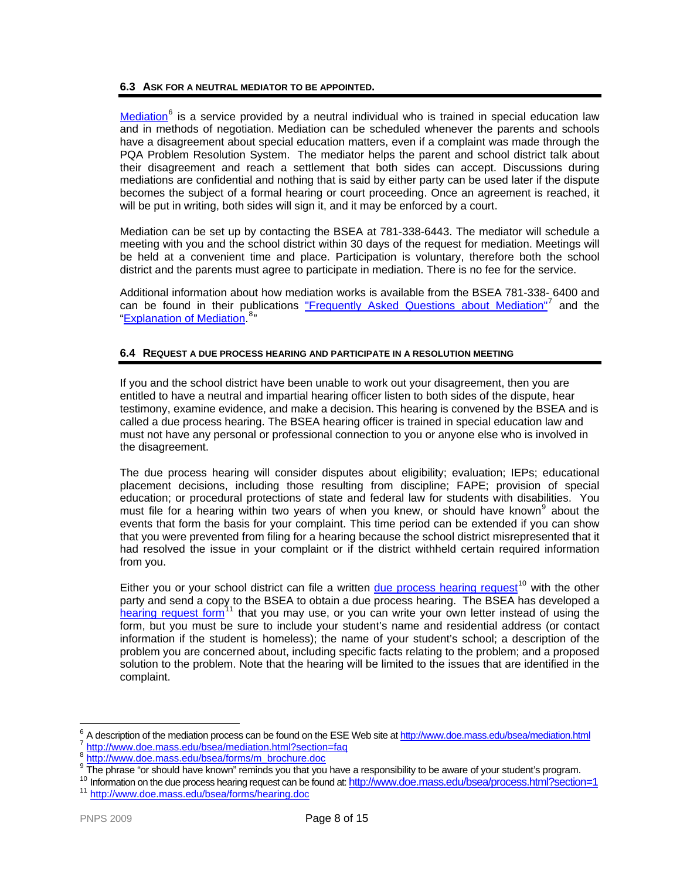## **6.3 ASK FOR A NEUTRAL MEDIATOR TO BE APPOINTED.**

[Mediation](http://www.doe.mass.edu/bsea/mediation.html)<sup>[6](#page-7-1)</sup> is a service provided by a neutral individual who is trained in special education law and in methods of negotiation. Mediation can be scheduled whenever the parents and schools have a disagreement about special education matters, even if a complaint was made through the PQA Problem Resolution System. The mediator helps the parent and school district talk about their disagreement and reach a settlement that both sides can accept. Discussions during mediations are confidential and nothing that is said by either party can be used later if the dispute becomes the subject of a formal hearing or court proceeding. Once an agreement is reached, it will be put in writing, both sides will sign it, and it may be enforced by a court.

Mediation can be set up by contacting the BSEA at 781-338-6443. The mediator will schedule a meeting with you and the school district within 30 days of the request for mediation. Meetings will be held at a convenient time and place. Participation is voluntary, therefore both the school district and the parents must agree to participate in mediation. There is no fee for the service.

Additional information about how mediation works is available from the BSEA 781-338- 6400 and can be found in their publications ["Frequently Asked Questions about Mediation"](http://www.doe.mass.edu/bsea/mediation.html?section=faq)<sup>[7](#page-7-2)</sup> and the ["Explanation of Mediation.](http://www.doe.mass.edu/bsea/forms/m_brochure.doc)<sup>[8](#page-7-3)</sup>"

## <span id="page-7-0"></span>**6.4 REQUEST A DUE PROCESS HEARING AND PARTICIPATE IN A RESOLUTION MEETING**

If you and the school district have been unable to work out your disagreement, then you are entitled to have a neutral and impartial hearing officer listen to both sides of the dispute, hear testimony, examine evidence, and make a decision. This hearing is convened by the BSEA and is called a due process hearing. The BSEA hearing officer is trained in special education law and must not have any personal or professional connection to you or anyone else who is involved in the disagreement.

The due process hearing will consider disputes about eligibility; evaluation; IEPs; educational placement decisions, including those resulting from discipline; FAPE; provision of special education; or procedural protections of state and federal law for students with disabilities. You must file for a hearing within two years of when you knew, or should have known<sup>[9](#page-7-4)</sup> about the events that form the basis for your complaint. This time period can be extended if you can show that you were prevented from filing for a hearing because the school district misrepresented that it had resolved the issue in your complaint or if the district withheld certain required information from you.

Either you or your school district can file a written [due process hearing request](http://www.doe.mass.edu/bsea/process.html?section=1)<sup>[10](#page-7-5)</sup> with the other party and send a copy to the BSEA to obtain a due process hearing. The BSEA has developed a [hearing request form](http://www.doe.mass.edu/bsea/forms.html)<sup>[11](#page-7-6)</sup> that you may use, or you can write your own letter instead of using the form, but you must be sure to include your student's name and residential address (or contact information if the student is homeless); the name of your student's school; a description of the problem you are concerned about, including specific facts relating to the problem; and a proposed solution to the problem. Note that the hearing will be limited to the issues that are identified in the complaint.

<span id="page-7-2"></span><span id="page-7-1"></span><sup>6</sup>  $\frac{6}{7}$  A description of the mediation process can be found on the ESE Web site at <u><http://www.doe.mass.edu/bsea/mediation.html></u><br> $\frac{7}{7}$  <http://www.doe.mass.edu/bsea/mediation.html?section=faq><br> $\frac{8}{7}$  http://www.doe

<span id="page-7-3"></span>

<span id="page-7-4"></span>

<span id="page-7-6"></span><span id="page-7-5"></span><sup>&</sup>lt;sup>10</sup> Information on the due process hearing request can be found at:<http://www.doe.mass.edu/bsea/process.html?section=1><br><sup>11</sup> http://www.doe.mass.edu/bsea/forms/hearing.doc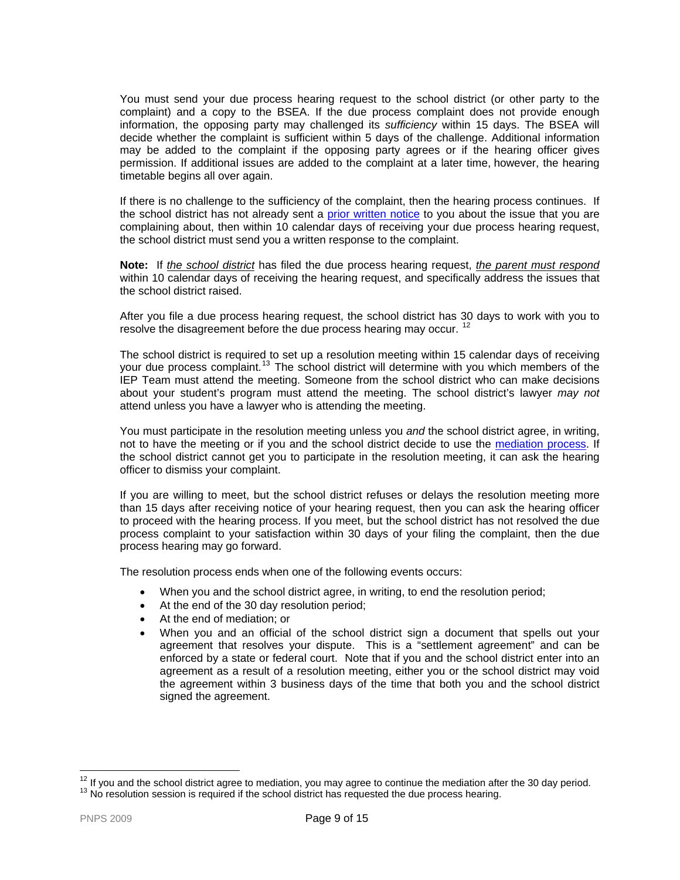You must send your due process hearing request to the school district (or other party to the complaint) and a copy to the BSEA. If the due process complaint does not provide enough information, the opposing party may challenged its *sufficiency* within 15 days. The BSEA will decide whether the complaint is sufficient within 5 days of the challenge. Additional information may be added to the complaint if the opposing party agrees or if the hearing officer gives permission. If additional issues are added to the complaint at a later time, however, the hearing timetable begins all over again.

If there is no challenge to the sufficiency of the complaint, then the hearing process continues. If the school district has not already sent a [prior written notice](#page-1-1) to you about the issue that you are complaining about, then within 10 calendar days of receiving your due process hearing request, the school district must send you a written response to the complaint.

**Note:** If *the school district* has filed the due process hearing request, *the parent must respond* within 10 calendar days of receiving the hearing request, and specifically address the issues that the school district raised.

After you file a due process hearing request, the school district has 30 days to work with you to resolve the disagreement before the due process hearing may occur.<sup>[12](#page-8-0)</sup>

The school district is required to set up a resolution meeting within 15 calendar days of receiving your due process complaint.<sup>[13](#page-8-1)</sup> The school district will determine with you which members of the IEP Team must attend the meeting. Someone from the school district who can make decisions about your student's program must attend the meeting. The school district's lawyer *may not*  attend unless you have a lawyer who is attending the meeting.

You must participate in the resolution meeting unless you *and* the school district agree, in writing, not to have the meeting or if you and the school district decide to use the [mediation process.](#page-6-1) If the school district cannot get you to participate in the resolution meeting, it can ask the hearing officer to dismiss your complaint.

If you are willing to meet, but the school district refuses or delays the resolution meeting more than 15 days after receiving notice of your hearing request, then you can ask the hearing officer to proceed with the hearing process. If you meet, but the school district has not resolved the due process complaint to your satisfaction within 30 days of your filing the complaint, then the due process hearing may go forward.

The resolution process ends when one of the following events occurs:

- When you and the school district agree, in writing, to end the resolution period;
- At the end of the 30 day resolution period;
- At the end of mediation; or
- When you and an official of the school district sign a document that spells out your agreement that resolves your dispute. This is a "settlement agreement" and can be enforced by a state or federal court. Note that if you and the school district enter into an agreement as a result of a resolution meeting, either you or the school district may void the agreement within 3 business days of the time that both you and the school district signed the agreement.

<span id="page-8-1"></span><span id="page-8-0"></span> $^{12}$  If you and the school district agree to mediation, you may agree to continue the mediation after the 30 day period.<br> $^{13}$  No resolution session is required if the school district has requested the due process hear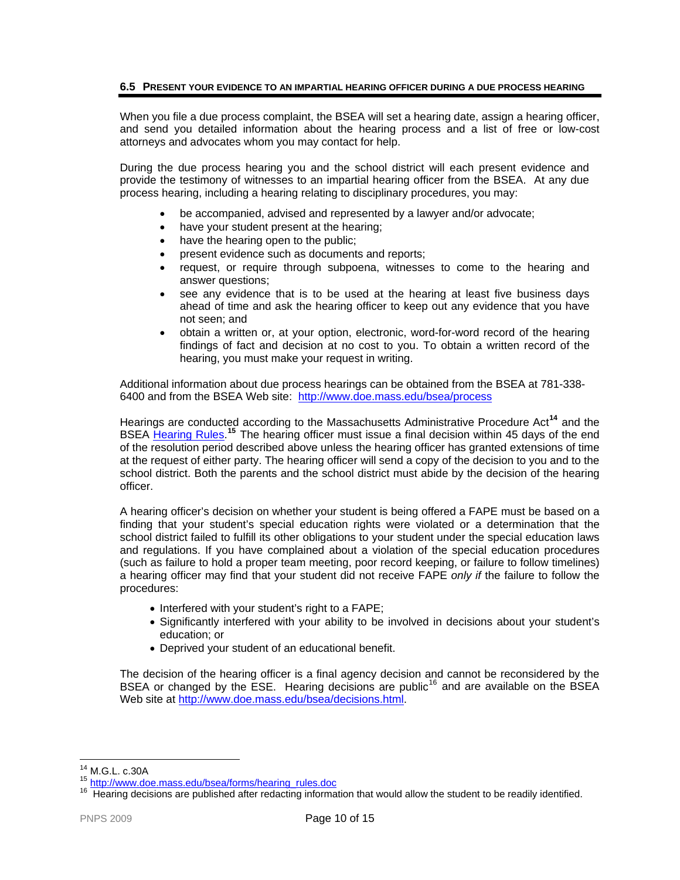# **6.5 PRESENT YOUR EVIDENCE TO AN IMPARTIAL HEARING OFFICER DURING A DUE PROCESS HEARING**

When you file a due process complaint, the BSEA will set a hearing date, assign a hearing officer, and send you detailed information about the hearing process and a list of free or low-cost attorneys and advocates whom you may contact for help.

During the due process hearing you and the school district will each present evidence and provide the testimony of witnesses to an impartial hearing officer from the BSEA. At any due process hearing, including a hearing relating to disciplinary procedures, you may:

- be accompanied, advised and represented by a lawyer and/or advocate;
- have your student present at the hearing;
- have the hearing open to the public;
- present evidence such as documents and reports;
- request, or require through subpoena, witnesses to come to the hearing and answer questions;
- see any evidence that is to be used at the hearing at least five business days ahead of time and ask the hearing officer to keep out any evidence that you have not seen; and
- obtain a written or, at your option, electronic, word-for-word record of the hearing findings of fact and decision at no cost to you. To obtain a written record of the hearing, you must make your request in writing.

Additional information about due process hearings can be obtained from the BSEA at 781-338- 6400 and from the BSEA Web site: [http://www.doe.mass.edu/bsea/process](http://www.doe.mass.edu/bsea/process.html)

Hearings are conducted according to the Massachusetts Administrative Procedure Act**[14](#page-9-0)** and the BSEA [Hearing Rules.](http://www.doe.mass.edu/bsea/forms/hearing_rules.doc)<sup>[15](#page-9-1)</sup> The hearing officer must issue a final decision within 45 days of the end of the resolution period described above unless the hearing officer has granted extensions of time at the request of either party. The hearing officer will send a copy of the decision to you and to the school district. Both the parents and the school district must abide by the decision of the hearing officer.

A hearing officer's decision on whether your student is being offered a FAPE must be based on a finding that your student's special education rights were violated or a determination that the school district failed to fulfill its other obligations to your student under the special education laws and regulations. If you have complained about a violation of the special education procedures (such as failure to hold a proper team meeting, poor record keeping, or failure to follow timelines) a hearing officer may find that your student did not receive FAPE *only if* the failure to follow the procedures:

- Interfered with your student's right to a FAPE;
- Significantly interfered with your ability to be involved in decisions about your student's education; or
- Deprived your student of an educational benefit.

The decision of the hearing officer is a final agency decision and cannot be reconsidered by the BSEA or changed by the  $\overline{E}$ SE. Hearing decisions are public<sup>[16](#page-9-2)</sup> and are available on the BSEA Web site at [http://www.doe.mass.edu/bsea/decisions.html.](http://www.doe.mass.edu/bsea/decisions.html)

<span id="page-9-0"></span><sup>&</sup>lt;sup>14</sup> M.G.L. c.30A

<span id="page-9-2"></span><span id="page-9-1"></span><sup>&</sup>lt;sup>15</sup> [http://www.doe.mass.edu/bsea/forms/hearing\\_rules.doc](http://www.doe.mass.edu/bsea/forms/hearing_rules.doc)<br><sup>16</sup> Hearing decisions are published after redacting information that would allow the student to be readily identified.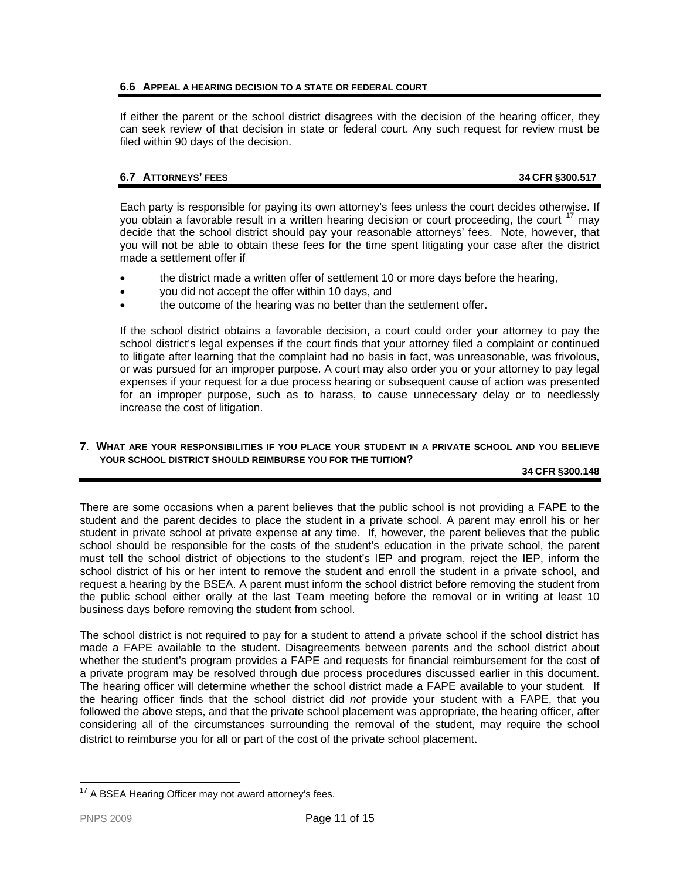# **6.6 APPEAL A HEARING DECISION TO A STATE OR FEDERAL COURT**

If either the parent or the school district disagrees with the decision of the hearing officer, they can seek review of that decision in state or federal court. Any such request for review must be filed within 90 days of the decision.

# **6.7 ATTORNEYS' FEES 34 CFR §300.517**

Each party is responsible for paying its own attorney's fees unless the court decides otherwise. If you obtain a favorable result in a written hearing decision or court proceeding, the court  $17$  may decide that the school district should pay your reasonable attorneys' fees. Note, however, that you will not be able to obtain these fees for the time spent litigating your case after the district made a settlement offer if

- the district made a written offer of settlement 10 or more days before the hearing,
- you did not accept the offer within 10 days, and
- the outcome of the hearing was no better than the settlement offer.

If the school district obtains a favorable decision, a court could order your attorney to pay the school district's legal expenses if the court finds that your attorney filed a complaint or continued to litigate after learning that the complaint had no basis in fact, was unreasonable, was frivolous, or was pursued for an improper purpose. A court may also order you or your attorney to pay legal expenses if your request for a due process hearing or subsequent cause of action was presented for an improper purpose, such as to harass, to cause unnecessary delay or to needlessly increase the cost of litigation.

## <span id="page-10-0"></span>**7**. **WHAT ARE YOUR RESPONSIBILITIES IF YOU PLACE YOUR STUDENT IN A PRIVATE SCHOOL AND YOU BELIEVE YOUR SCHOOL DISTRICT SHOULD REIMBURSE YOU FOR THE TUITION?**

## **34 CFR §300.148**

There are some occasions when a parent believes that the public school is not providing a FAPE to the student and the parent decides to place the student in a private school. A parent may enroll his or her student in private school at private expense at any time. If, however, the parent believes that the public school should be responsible for the costs of the student's education in the private school, the parent must tell the school district of objections to the student's IEP and program, reject the IEP, inform the school district of his or her intent to remove the student and enroll the student in a private school, and request a hearing by the BSEA. A parent must inform the school district before removing the student from the public school either orally at the last Team meeting before the removal or in writing at least 10 business days before removing the student from school.

The school district is not required to pay for a student to attend a private school if the school district has made a FAPE available to the student. Disagreements between parents and the school district about whether the student's program provides a FAPE and requests for financial reimbursement for the cost of a private program may be resolved through due process procedures discussed earlier in this document. The hearing officer will determine whether the school district made a FAPE available to your student. If the hearing officer finds that the school district did *not* provide your student with a FAPE, that you followed the above steps, and that the private school placement was appropriate, the hearing officer, after considering all of the circumstances surrounding the removal of the student, may require the school district to reimburse you for all or part of the cost of the private school placement.

<span id="page-10-2"></span><span id="page-10-1"></span> $\overline{a}$  $17$  A BSEA Hearing Officer may not award attorney's fees.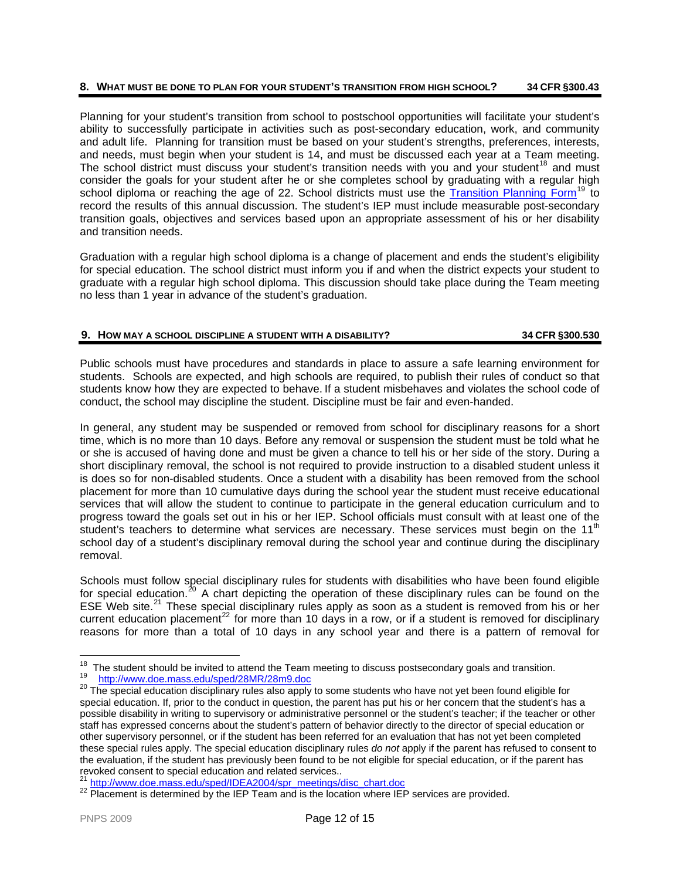# **8. WHAT MUST BE DONE TO PLAN FOR YOUR STUDENT'S TRANSITION FROM HIGH SCHOOL? 34 CFR §300.43**

Planning for your student's transition from school to postschool opportunities will facilitate your student's ability to successfully participate in activities such as post-secondary education, work, and community and adult life. Planning for transition must be based on your student's strengths, preferences, interests, and needs, must begin when your student is 14, and must be discussed each year at a Team meeting. The school district must discuss your student's transition needs with you and your student<sup>[18](#page-11-1)</sup> and must consider the goals for your student after he or she completes school by graduating with a regular high school diploma or reaching the age of 22. School districts must use the [Transition Planning Form](http://www.doe.mass.edu/sped/28MR/28m9.doc)<sup>[19](#page-11-2)</sup> to record the results of this annual discussion. The student's IEP must include measurable post-secondary transition goals, objectives and services based upon an appropriate assessment of his or her disability and transition needs.

Graduation with a regular high school diploma is a change of placement and ends the student's eligibility for special education. The school district must inform you if and when the district expects your student to graduate with a regular high school diploma. This discussion should take place during the Team meeting no less than 1 year in advance of the student's graduation.

# <span id="page-11-0"></span>**9. HOW MAY A SCHOOL DISCIPLINE A STUDENT WITH A DISABILITY? 34 CFR §300.530**

Public schools must have procedures and standards in place to assure a safe learning environment for students. Schools are expected, and high schools are required, to publish their rules of conduct so that students know how they are expected to behave. If a student misbehaves and violates the school code of conduct, the school may discipline the student. Discipline must be fair and even-handed.

In general, any student may be suspended or removed from school for disciplinary reasons for a short time, which is no more than 10 days. Before any removal or suspension the student must be told what he or she is accused of having done and must be given a chance to tell his or her side of the story. During a short disciplinary removal, the school is not required to provide instruction to a disabled student unless it is does so for non-disabled students. Once a student with a disability has been removed from the school placement for more than 10 cumulative days during the school year the student must receive educational services that will allow the student to continue to participate in the general education curriculum and to progress toward the goals set out in his or her IEP. School officials must consult with at least one of the student's teachers to determine what services are necessary. These services must begin on the  $11<sup>th</sup>$ school day of a student's disciplinary removal during the school year and continue during the disciplinary removal.

Schools must follow special disciplinary rules for students with disabilities who have been found eligible for special education.<sup>[20](#page-11-3)</sup> A chart depicting the operation of these disciplinary rules can be found on the ESE Web site. $^{21}$  $^{21}$  $^{21}$  These special disciplinary rules apply as soon as a student is removed from his or her current education placement<sup>[22](#page-11-5)</sup> for more than 10 days in a row, or if a student is removed for disciplinary reasons for more than a total of 10 days in any school year and there is a pattern of removal for

<span id="page-11-4"></span>

<span id="page-11-1"></span><sup>&</sup>lt;sup>18</sup> [The student should be invited to attend the Team m](http://www.doe.mass.edu/sped/28MR/28m9.doc)eeting to discuss postsecondary goals and transition.<br><sup>19</sup> <http://www.doe.mass.edu/sped/28MR/28m9.doc><br><sup>20</sup> The special education disciplinary rules also apply to some

<span id="page-11-3"></span><span id="page-11-2"></span>special education. If, prior to the conduct in question, the parent has put his or her concern that the student's has a possible disability in writing to supervisory or administrative personnel or the student's teacher; if the teacher or other staff has expressed concerns about the student's pattern of behavior directly to the director of special education or other supervisory personnel, or if the student has been referred for an evaluation that has not yet been completed these special rules apply. The special education disciplinary rules *do not* apply if the parent has refused to consent to the evaluation, if the student has previously been found to be not eligible for special education, or if the parent has revoked consent to special education and related services...<br><sup>21</sup> http://www.doe.mass.edu/sped/IDEA2004/spr\_meetings/disc\_chart.doc

<span id="page-11-5"></span><sup>&</sup>lt;sup>22</sup> [Placement is determined by the IEP Team and is the location where IEP](http://www.doe.mass.edu/sped/IDEA2004/spr_meetings/disc_chart.doc) services are provided.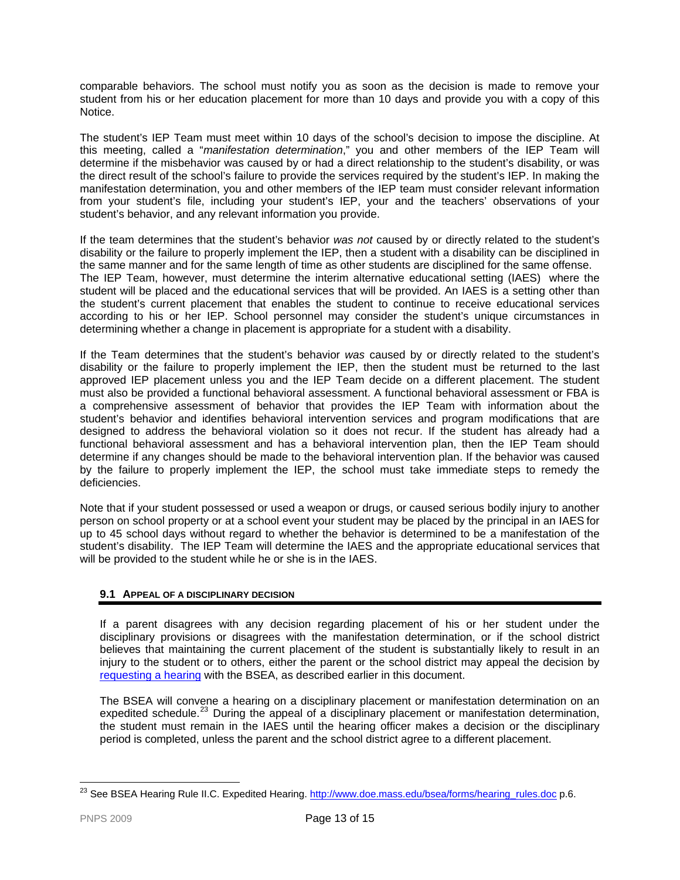comparable behaviors. The school must notify you as soon as the decision is made to remove your student from his or her education placement for more than 10 days and provide you with a copy of this Notice.

The student's IEP Team must meet within 10 days of the school's decision to impose the discipline. At this meeting, called a "*manifestation determination*," you and other members of the IEP Team will determine if the misbehavior was caused by or had a direct relationship to the student's disability, or was the direct result of the school's failure to provide the services required by the student's IEP. In making the manifestation determination, you and other members of the IEP team must consider relevant information from your student's file, including your student's IEP, your and the teachers' observations of your student's behavior, and any relevant information you provide.

If the team determines that the student's behavior *was not* caused by or directly related to the student's disability or the failure to properly implement the IEP, then a student with a disability can be disciplined in the same manner and for the same length of time as other students are disciplined for the same offense. The IEP Team, however, must determine the interim alternative educational setting (IAES) where the student will be placed and the educational services that will be provided. An IAES is a setting other than the student's current placement that enables the student to continue to receive educational services according to his or her IEP. School personnel may consider the student's unique circumstances in determining whether a change in placement is appropriate for a student with a disability.

If the Team determines that the student's behavior *was* caused by or directly related to the student's disability or the failure to properly implement the IEP, then the student must be returned to the last approved IEP placement unless you and the IEP Team decide on a different placement. The student must also be provided a functional behavioral assessment. A functional behavioral assessment or FBA is a comprehensive assessment of behavior that provides the IEP Team with information about the student's behavior and identifies behavioral intervention services and program modifications that are designed to address the behavioral violation so it does not recur. If the student has already had a functional behavioral assessment and has a behavioral intervention plan, then the IEP Team should determine if any changes should be made to the behavioral intervention plan. If the behavior was caused by the failure to properly implement the IEP, the school must take immediate steps to remedy the deficiencies.

Note that if your student possessed or used a weapon or drugs, or caused serious bodily injury to another person on school property or at a school event your student may be placed by the principal in an IAES for up to 45 school days without regard to whether the behavior is determined to be a manifestation of the student's disability. The IEP Team will determine the IAES and the appropriate educational services that will be provided to the student while he or she is in the IAES.

# **9.1 APPEAL OF A DISCIPLINARY DECISION**

If a parent disagrees with any decision regarding placement of his or her student under the disciplinary provisions or disagrees with the manifestation determination, or if the school district believes that maintaining the current placement of the student is substantially likely to result in an injury to the student or to others, either the parent or the school district may appeal the decision by [requesting a hearing](#page-7-0) with the BSEA, as described earlier in this document.

The BSEA will convene a hearing on a disciplinary placement or manifestation determination on an expedited schedule.<sup>[23](#page-12-1)</sup> During the appeal of a disciplinary placement or manifestation determination, the student must remain in the IAES until the hearing officer makes a decision or the disciplinary period is completed, unless the parent and the school district agree to a different placement.

<span id="page-12-1"></span><span id="page-12-0"></span> $\overline{a}$ <sup>23</sup> See BSEA Hearing Rule II.C. Expedited Hearing. [http://www.doe.mass.edu/bsea/forms/hearing\\_rules.doc](http://www.doe.mass.edu/bsea/forms/hearing_rules.doc) p.6.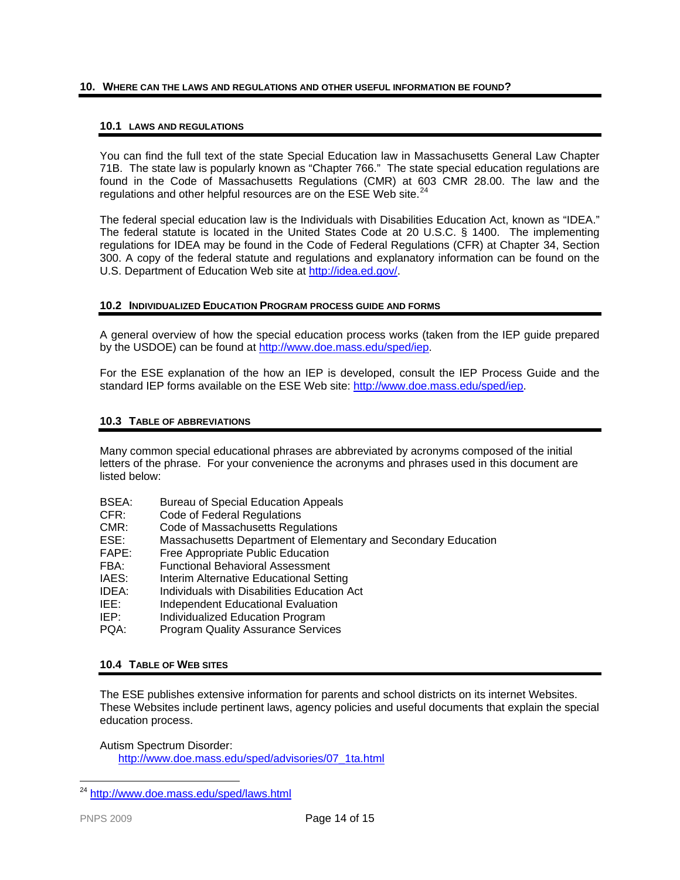## <span id="page-13-1"></span>**10. WHERE CAN THE LAWS AND REGULATIONS AND OTHER USEFUL INFORMATION BE FOUND?**

#### **10.1 LAWS AND REGULATIONS**

You can find the full text of the state Special Education law in Massachusetts General Law Chapter 71B. The state law is popularly known as "Chapter 766." The state special education regulations are found in the Code of Massachusetts Regulations (CMR) at 603 CMR 28.00. The law and the regulations and other helpful resources are on the ESE Web site.<sup>[24](#page-13-3)</sup>

The federal special education law is the Individuals with Disabilities Education Act, known as "IDEA." The federal statute is located in the United States Code at 20 U.S.C. § 1400. The implementing regulations for IDEA may be found in the Code of Federal Regulations (CFR) at Chapter 34, Section 300. A copy of the federal statute and regulations and explanatory information can be found on the U.S. Department of Education Web site at [http://idea.ed.gov/.](http://idea.ed.gov/)

#### <span id="page-13-0"></span>**10.2 INDIVIDUALIZED EDUCATION PROGRAM PROCESS GUIDE AND FORMS**

A general overview of how the special education process works (taken from the IEP guide prepared by the USDOE) can be found at<http://www.doe.mass.edu/sped/iep>.

For the ESE explanation of the how an IEP is developed, consult the IEP Process Guide and the standard IEP forms available on the ESE Web site:<http://www.doe.mass.edu/sped/iep>.

## **10.3 TABLE OF ABBREVIATIONS**

Many common special educational phrases are abbreviated by acronyms composed of the initial letters of the phrase. For your convenience the acronyms and phrases used in this document are listed below:

- BSEA: Bureau of Special Education Appeals
- CFR: Code of Federal Regulations
- CMR: Code of Massachusetts Regulations
- ESE: Massachusetts Department of Elementary and Secondary Education
- FAPE: Free Appropriate Public Education
- FBA: Functional Behavioral Assessment
- IAES: Interim Alternative Educational Setting
- IDEA: Individuals with Disabilities Education Act
- IEE: Independent Educational Evaluation
- IEP: Individualized Education Program
- PQA: Program Quality Assurance Services

## <span id="page-13-2"></span>**10.4 TABLE OF WEB SITES**

The ESE publishes extensive information for parents and school districts on its internet Websites. These Websites include pertinent laws, agency policies and useful documents that explain the special education process.

Autism Spectrum Disorder:

[http://www.doe.mass.edu/sped/advisories/07\\_1ta.html](http://www.doe.mass.edu/sped/advisories/07_1ta.html)

<span id="page-13-3"></span><sup>24</sup> <http://www.doe.mass.edu/sped/laws.html>